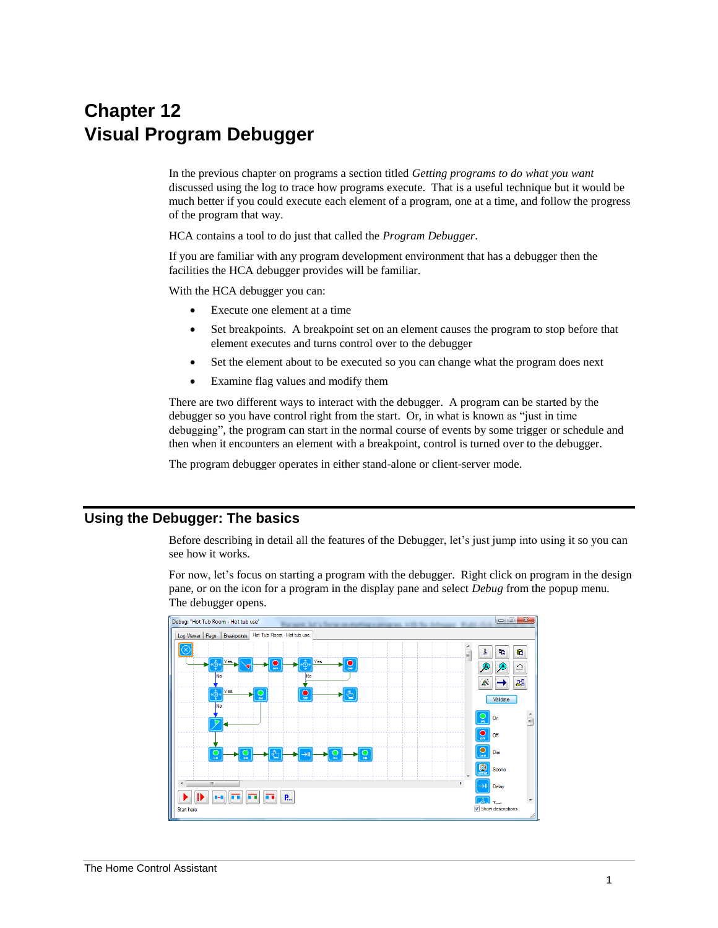# **Chapter 12 Visual Program Debugger**

In the previous chapter on programs a section titled *Getting programs to do what you want* discussed using the log to trace how programs execute. That is a useful technique but it would be much better if you could execute each element of a program, one at a time, and follow the progress of the program that way.

HCA contains a tool to do just that called the *Program Debugger*.

If you are familiar with any program development environment that has a debugger then the facilities the HCA debugger provides will be familiar.

With the HCA debugger you can:

- Execute one element at a time
- Set breakpoints. A breakpoint set on an element causes the program to stop before that element executes and turns control over to the debugger
- Set the element about to be executed so you can change what the program does next
- Examine flag values and modify them

There are two different ways to interact with the debugger. A program can be started by the debugger so you have control right from the start. Or, in what is known as "just in time debugging", the program can start in the normal course of events by some trigger or schedule and then when it encounters an element with a breakpoint, control is turned over to the debugger.

The program debugger operates in either stand-alone or client-server mode.

## **Using the Debugger: The basics**

Before describing in detail all the features of the Debugger, let's just jump into using it so you can see how it works.

For now, let's focus on starting a program with the debugger. Right click on program in the design pane, or on the icon for a program in the display pane and select *Debug* from the popup menu. The debugger opens.



.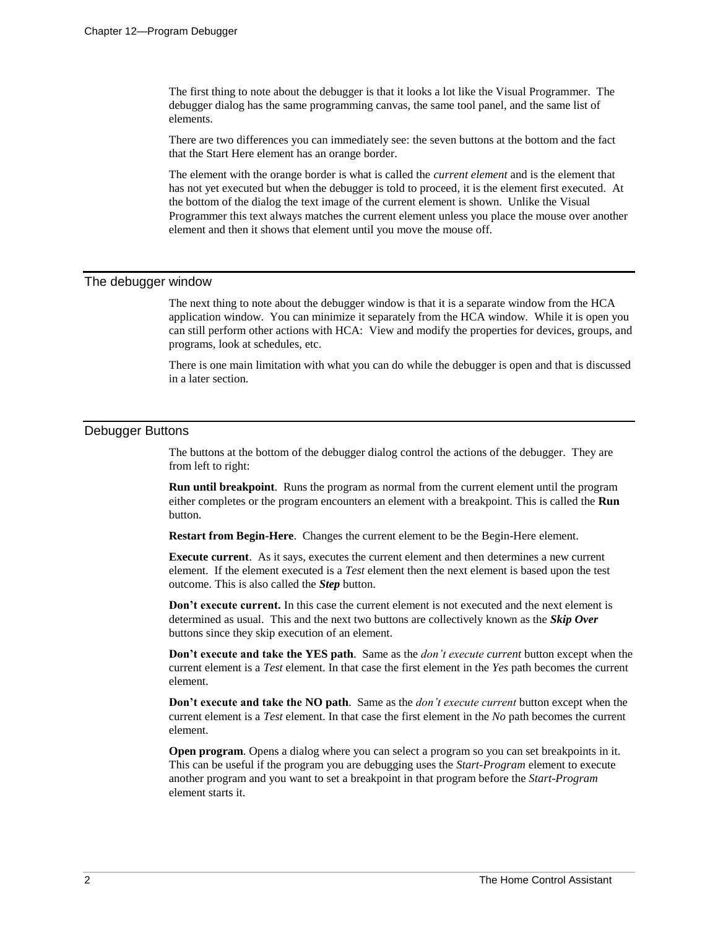The first thing to note about the debugger is that it looks a lot like the Visual Programmer. The debugger dialog has the same programming canvas, the same tool panel, and the same list of elements.

There are two differences you can immediately see: the seven buttons at the bottom and the fact that the Start Here element has an orange border.

The element with the orange border is what is called the *current element* and is the element that has not yet executed but when the debugger is told to proceed, it is the element first executed. At the bottom of the dialog the text image of the current element is shown. Unlike the Visual Programmer this text always matches the current element unless you place the mouse over another element and then it shows that element until you move the mouse off.

#### The debugger window

The next thing to note about the debugger window is that it is a separate window from the HCA application window. You can minimize it separately from the HCA window. While it is open you can still perform other actions with HCA: View and modify the properties for devices, groups, and programs, look at schedules, etc.

There is one main limitation with what you can do while the debugger is open and that is discussed in a later section.

#### Debugger Buttons

The buttons at the bottom of the debugger dialog control the actions of the debugger. They are from left to right:

**Run until breakpoint**. Runs the program as normal from the current element until the program either completes or the program encounters an element with a breakpoint. This is called the **Run** button.

**Restart from Begin-Here**. Changes the current element to be the Begin-Here element.

**Execute current**. As it says, executes the current element and then determines a new current element. If the element executed is a *Test* element then the next element is based upon the test outcome. This is also called the *Step* button.

**Don't execute current.** In this case the current element is not executed and the next element is determined as usual. This and the next two buttons are collectively known as the *Skip Over*  buttons since they skip execution of an element.

**Don't execute and take the YES path**. Same as the *don't execute current* button except when the current element is a *Test* element. In that case the first element in the *Yes* path becomes the current element.

**Don't execute and take the NO path**. Same as the *don't execute current* button except when the current element is a *Test* element. In that case the first element in the *No* path becomes the current element.

**Open program.** Opens a dialog where you can select a program so you can set breakpoints in it. This can be useful if the program you are debugging uses the *Start-Program* element to execute another program and you want to set a breakpoint in that program before the *Start-Program* element starts it.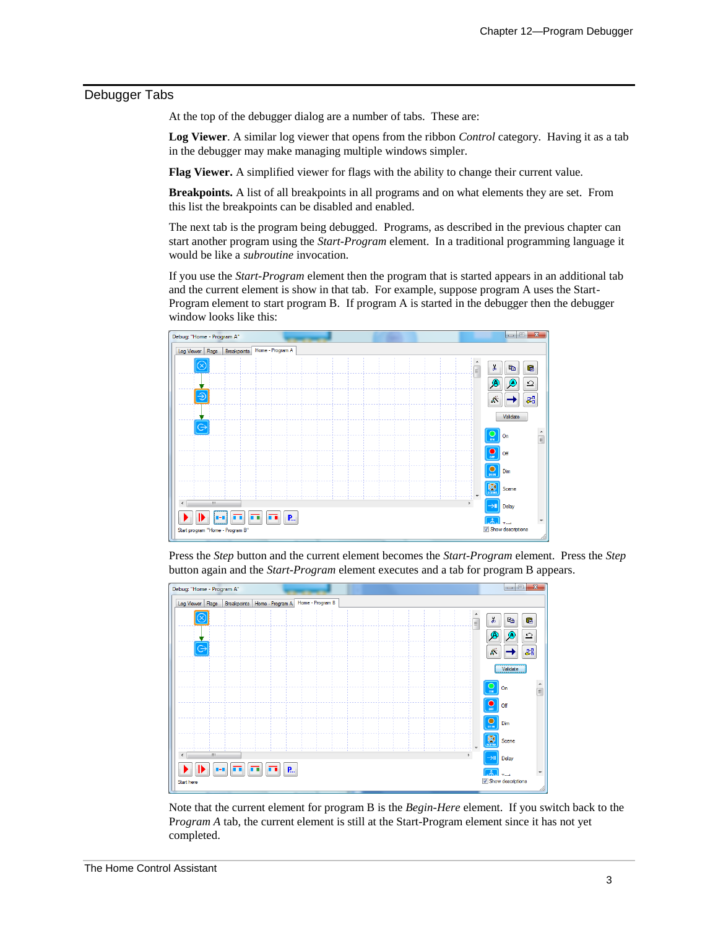#### Debugger Tabs

At the top of the debugger dialog are a number of tabs. These are:

**Log Viewer**. A similar log viewer that opens from the ribbon *Control* category. Having it as a tab in the debugger may make managing multiple windows simpler.

**Flag Viewer.** A simplified viewer for flags with the ability to change their current value.

**Breakpoints.** A list of all breakpoints in all programs and on what elements they are set. From this list the breakpoints can be disabled and enabled.

The next tab is the program being debugged. Programs, as described in the previous chapter can start another program using the *Start-Program* element. In a traditional programming language it would be like a *subroutine* invocation.

If you use the *Start-Program* element then the program that is started appears in an additional tab and the current element is show in that tab. For example, suppose program A uses the Start-Program element to start program B. If program A is started in the debugger then the debugger window looks like this:



Press the *Step* button and the current element becomes the *Start-Program* element. Press the *Step* button again and the *Start-Program* element executes and a tab for program B appears.



Note that the current element for program B is the *Begin-Here* element. If you switch back to the P*rogram A* tab, the current element is still at the Start-Program element since it has not yet completed.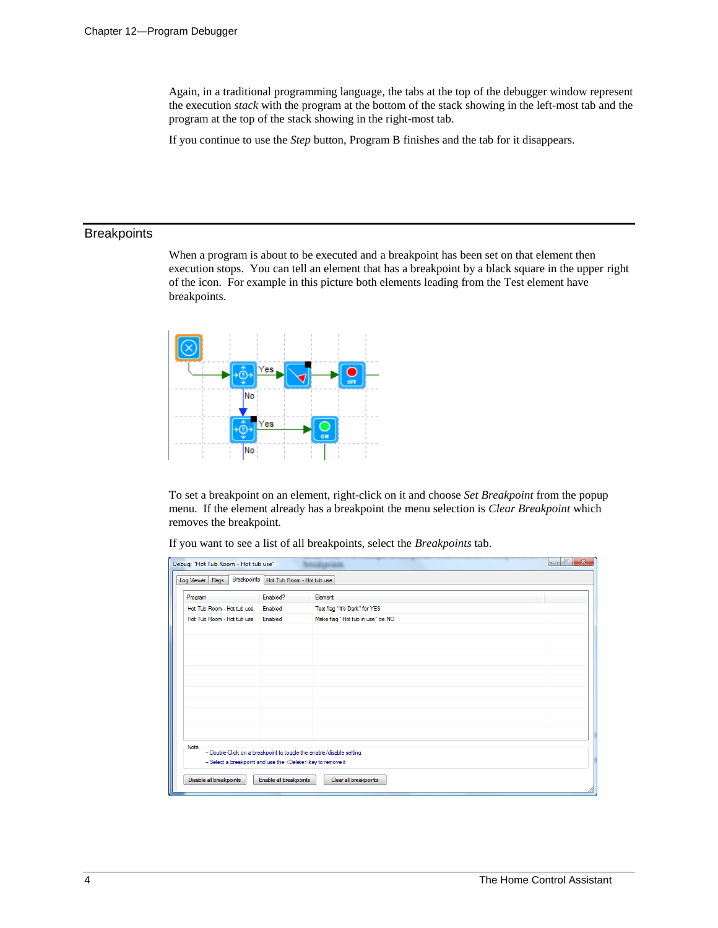Again, in a traditional programming language, the tabs at the top of the debugger window represent the execution *stack* with the program at the bottom of the stack showing in the left-most tab and the program at the top of the stack showing in the right-most tab.

If you continue to use the *Step* button, Program B finishes and the tab for it disappears.

## **Breakpoints**

When a program is about to be executed and a breakpoint has been set on that element then execution stops. You can tell an element that has a breakpoint by a black square in the upper right of the icon. For example in this picture both elements leading from the Test element have breakpoints.



To set a breakpoint on an element, right-click on it and choose *Set Breakpoint* from the popup menu. If the element already has a breakpoint the menu selection is *Clear Breakpoint* which removes the breakpoint*.*

If you want to see a list of all breakpoints, select the *Breakpoints* tab.

| $\mathbf{x}$<br>$= 0$<br>Debug: "Hot Tub Room - Hot tub use"                                                                                  |          |                                  |  |  |  |  |
|-----------------------------------------------------------------------------------------------------------------------------------------------|----------|----------------------------------|--|--|--|--|
| Breakpoints<br>Hot Tub Room - Hot tub use<br>Flags<br>Log Viewer                                                                              |          |                                  |  |  |  |  |
| Program                                                                                                                                       | Enabled? | Element                          |  |  |  |  |
| Hot Tub Room - Hot tub use                                                                                                                    | Enabled  | Test flag "It's Dark" for YES    |  |  |  |  |
| Hot Tub Room - Hot tub use                                                                                                                    | Enabled  | Make flag "Hot tub in use" be NO |  |  |  |  |
|                                                                                                                                               |          |                                  |  |  |  |  |
|                                                                                                                                               |          |                                  |  |  |  |  |
|                                                                                                                                               |          |                                  |  |  |  |  |
|                                                                                                                                               |          |                                  |  |  |  |  |
|                                                                                                                                               |          |                                  |  |  |  |  |
|                                                                                                                                               |          |                                  |  |  |  |  |
|                                                                                                                                               |          |                                  |  |  |  |  |
|                                                                                                                                               |          |                                  |  |  |  |  |
|                                                                                                                                               |          |                                  |  |  |  |  |
|                                                                                                                                               |          |                                  |  |  |  |  |
| Note                                                                                                                                          |          |                                  |  |  |  |  |
| -- Double-Click on a breakpoint to toggle the enable/disable setting<br>-- Select a breakpoint and use the <delete> key to remove it</delete> |          |                                  |  |  |  |  |
|                                                                                                                                               |          |                                  |  |  |  |  |
| Disable all breakpoints<br>Enable all breakpoints<br>Clear all breakpoints                                                                    |          |                                  |  |  |  |  |
|                                                                                                                                               |          |                                  |  |  |  |  |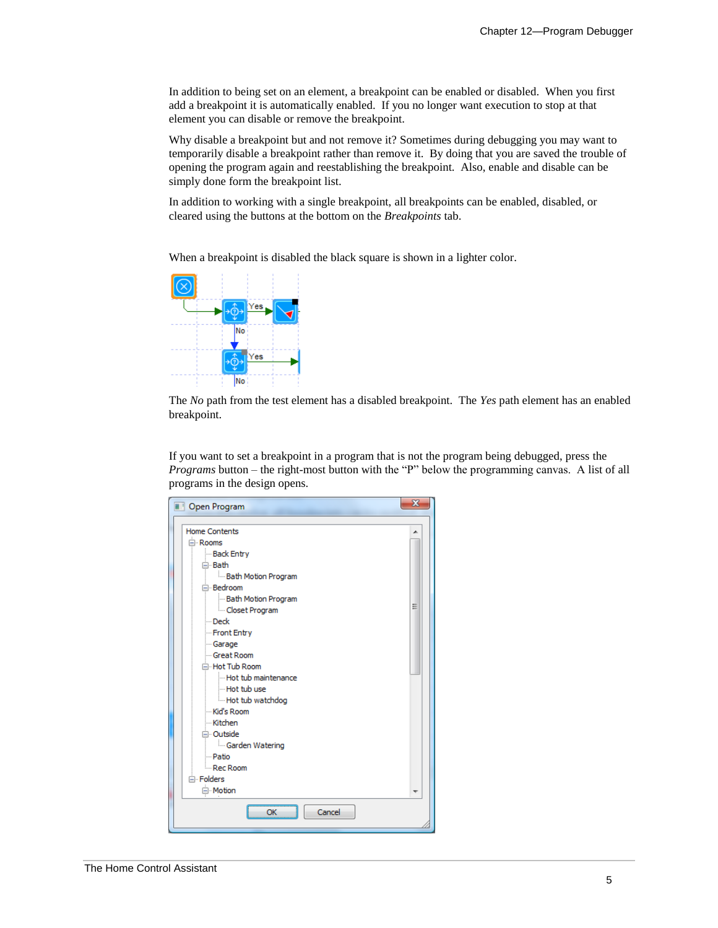In addition to being set on an element, a breakpoint can be enabled or disabled. When you first add a breakpoint it is automatically enabled. If you no longer want execution to stop at that element you can disable or remove the breakpoint.

Why disable a breakpoint but and not remove it? Sometimes during debugging you may want to temporarily disable a breakpoint rather than remove it. By doing that you are saved the trouble of opening the program again and reestablishing the breakpoint. Also, enable and disable can be simply done form the breakpoint list.

In addition to working with a single breakpoint, all breakpoints can be enabled, disabled, or cleared using the buttons at the bottom on the *Breakpoints* tab.

When a breakpoint is disabled the black square is shown in a lighter color.



The *No* path from the test element has a disabled breakpoint. The *Yes* path element has an enabled breakpoint.

If you want to set a breakpoint in a program that is not the program being debugged, press the *Programs* button – the right-most button with the "P" below the programming canvas. A list of all programs in the design opens.

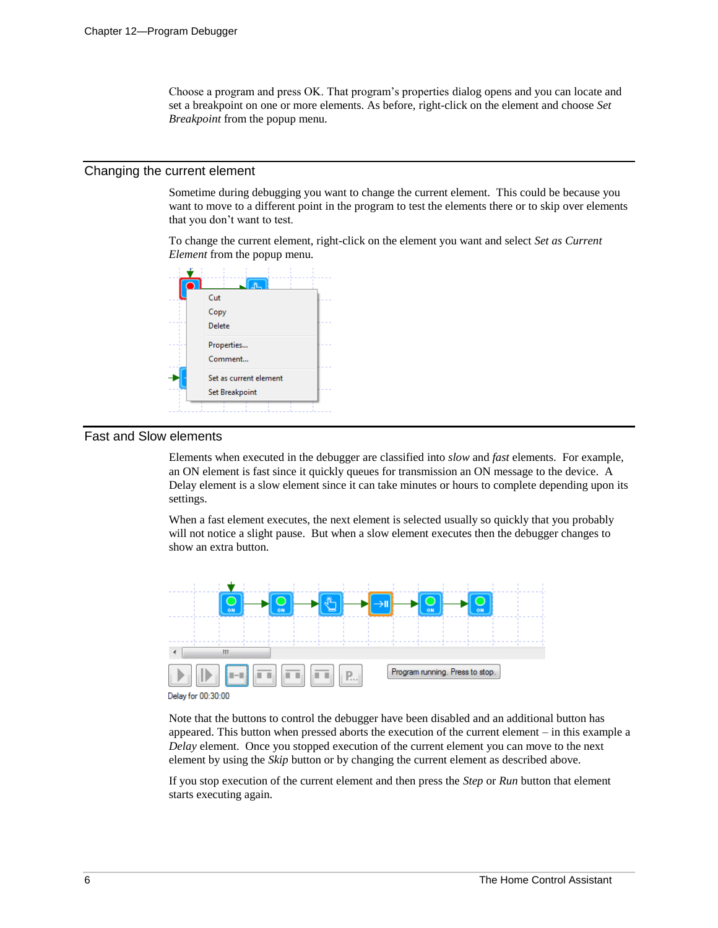Choose a program and press OK. That program's properties dialog opens and you can locate and set a breakpoint on one or more elements. As before, right-click on the element and choose *Set Breakpoint* from the popup menu.

#### Changing the current element

Sometime during debugging you want to change the current element. This could be because you want to move to a different point in the program to test the elements there or to skip over elements that you don't want to test.

To change the current element, right-click on the element you want and select *Set as Current Element* from the popup menu.



### Fast and Slow elements

Elements when executed in the debugger are classified into *slow* and *fast* elements. For example, an ON element is fast since it quickly queues for transmission an ON message to the device. A Delay element is a slow element since it can take minutes or hours to complete depending upon its settings.

When a fast element executes, the next element is selected usually so quickly that you probably will not notice a slight pause. But when a slow element executes then the debugger changes to show an extra button.



Delay for 00:30:00

Note that the buttons to control the debugger have been disabled and an additional button has appeared. This button when pressed aborts the execution of the current element – in this example a *Delay* element. Once you stopped execution of the current element you can move to the next element by using the *Skip* button or by changing the current element as described above.

If you stop execution of the current element and then press the *Step* or *Run* button that element starts executing again.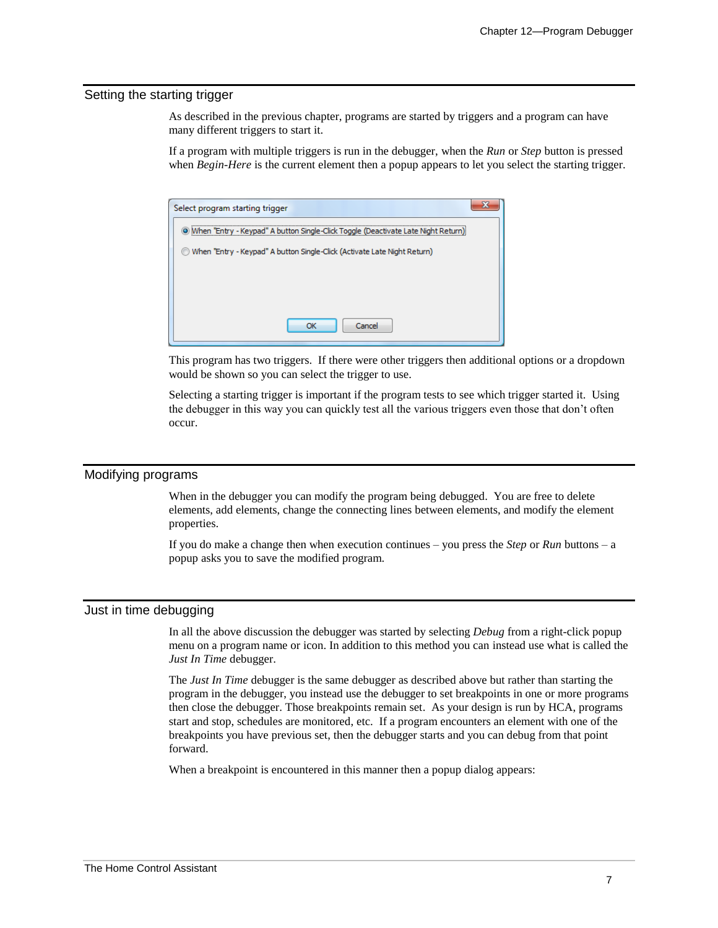#### Setting the starting trigger

As described in the previous chapter, programs are started by triggers and a program can have many different triggers to start it.

If a program with multiple triggers is run in the debugger, when the *Run* or *Step* button is pressed when *Begin-Here* is the current element then a popup appears to let you select the starting trigger.



This program has two triggers. If there were other triggers then additional options or a dropdown would be shown so you can select the trigger to use.

Selecting a starting trigger is important if the program tests to see which trigger started it. Using the debugger in this way you can quickly test all the various triggers even those that don't often occur.

#### Modifying programs

When in the debugger you can modify the program being debugged. You are free to delete elements, add elements, change the connecting lines between elements, and modify the element properties.

If you do make a change then when execution continues – you press the *Step* or *Run* buttons – a popup asks you to save the modified program.

#### Just in time debugging

In all the above discussion the debugger was started by selecting *Debug* from a right-click popup menu on a program name or icon. In addition to this method you can instead use what is called the *Just In Time* debugger.

The *Just In Time* debugger is the same debugger as described above but rather than starting the program in the debugger, you instead use the debugger to set breakpoints in one or more programs then close the debugger. Those breakpoints remain set. As your design is run by HCA, programs start and stop, schedules are monitored, etc. If a program encounters an element with one of the breakpoints you have previous set, then the debugger starts and you can debug from that point forward.

When a breakpoint is encountered in this manner then a popup dialog appears: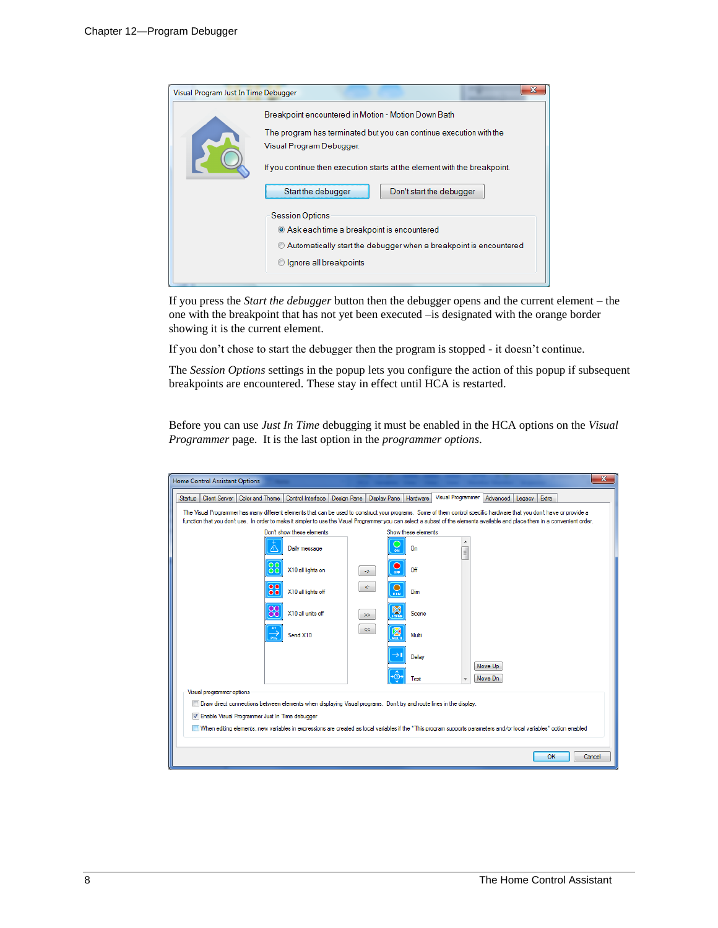| Visual Program Just In Time Debugger |                                                                                                                                                                                                                                                                                                                                                                                                                                                            |
|--------------------------------------|------------------------------------------------------------------------------------------------------------------------------------------------------------------------------------------------------------------------------------------------------------------------------------------------------------------------------------------------------------------------------------------------------------------------------------------------------------|
|                                      | Breakpoint encountered in Motion - Motion Down Bath<br>The program has terminated but you can continue execution with the<br>Visual Program Debugger.<br>If you continue then execution starts at the element with the breakpoint.<br>Start the debugger<br>Don't start the debugger<br><b>Session Options</b><br>Ask each time a breakpoint is encountered<br>Automatically start the debugger when a breakpoint is encountered<br>Ignore all breakpoints |

If you press the *Start the debugger* button then the debugger opens and the current element – the one with the breakpoint that has not yet been executed –is designated with the orange border showing it is the current element.

If you don't chose to start the debugger then the program is stopped - it doesn't continue.

The *Session Options* settings in the popup lets you configure the action of this popup if subsequent breakpoints are encountered. These stay in effect until HCA is restarted.

Before you can use *Just In Time* debugging it must be enabled in the HCA options on the *Visual Programmer* page. It is the last option in the *programmer options*.

| <b>Home Control Assistant Options</b>                                                                                                                                                                                                                                                                                                                   |                                                           |                              |                                                   | x            |  |  |  |  |
|---------------------------------------------------------------------------------------------------------------------------------------------------------------------------------------------------------------------------------------------------------------------------------------------------------------------------------------------------------|-----------------------------------------------------------|------------------------------|---------------------------------------------------|--------------|--|--|--|--|
| Color and Theme<br>Client Server<br>Startup                                                                                                                                                                                                                                                                                                             | Control Interface   Design Pane   Display Pane   Hardware |                              | <b>Visual Programmer</b><br>Advanced Legacy Extra |              |  |  |  |  |
| The Visual Programmer has many different elements that can be used to construct your programs. Some of them control specific hardware that you don't have or provide a<br>function that you don't use. In order to make it simpler to use the Visual Programmer you can select a subset of the elements available and place them in a convenient order. |                                                           |                              |                                                   |              |  |  |  |  |
| Don't show these elements<br>Show these elements                                                                                                                                                                                                                                                                                                        |                                                           |                              |                                                   |              |  |  |  |  |
| Daily message                                                                                                                                                                                                                                                                                                                                           |                                                           | ⊃<br>On<br><b>ON</b>         | E                                                 |              |  |  |  |  |
| oо<br>X10 all lights on<br>ŌŌ                                                                                                                                                                                                                                                                                                                           | $\rightarrow$                                             | Off<br>OFF                   |                                                   |              |  |  |  |  |
| $\bullet$<br>X10 all lights off<br>$\bullet$                                                                                                                                                                                                                                                                                                            | $\leftarrow$                                              | $\circ$<br>Dim<br><b>DIM</b> |                                                   |              |  |  |  |  |
| х<br>X10 all units off<br>ŏč                                                                                                                                                                                                                                                                                                                            | $\gg$                                                     | 图<br>Scene                   |                                                   |              |  |  |  |  |
| Send X10<br>$\overrightarrow{P16}$                                                                                                                                                                                                                                                                                                                      | <<                                                        | M<br>Multi                   |                                                   |              |  |  |  |  |
|                                                                                                                                                                                                                                                                                                                                                         |                                                           | $\rightarrow$ ll<br>Delay    | Move Up                                           |              |  |  |  |  |
|                                                                                                                                                                                                                                                                                                                                                         |                                                           | Test                         | Move Dn                                           |              |  |  |  |  |
| Visual programmer options                                                                                                                                                                                                                                                                                                                               |                                                           |                              |                                                   |              |  |  |  |  |
| Draw direct connections between elements when displaying Visual programs. Don't try and route lines in the display.                                                                                                                                                                                                                                     |                                                           |                              |                                                   |              |  |  |  |  |
| V Enable Visual Programmer Just In Time debugger                                                                                                                                                                                                                                                                                                        |                                                           |                              |                                                   |              |  |  |  |  |
| When editing elements, new variables in expressions are created as local variables if the "This program supports parameters and/or local variables" option enabled                                                                                                                                                                                      |                                                           |                              |                                                   |              |  |  |  |  |
|                                                                                                                                                                                                                                                                                                                                                         |                                                           |                              |                                                   | OK<br>Cancel |  |  |  |  |